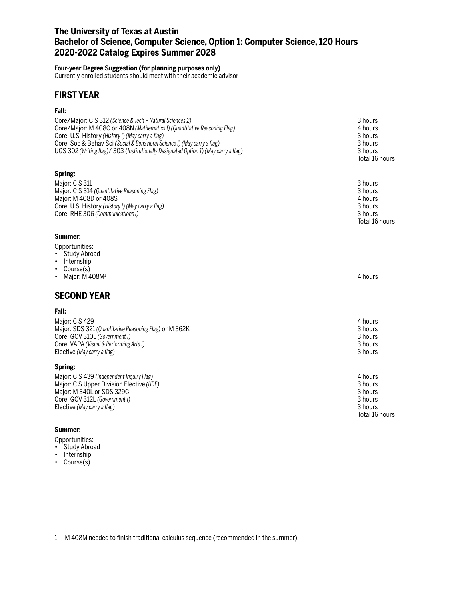# **The University of Texas at Austin Bachelor of Science, Computer Science, Option 1: Computer Science, 120 Hours 2020-2022 Catalog Expires Summer 2028**

## **Four-year Degree Suggestion (for planning purposes only)**

Currently enrolled students should meet with their academic advisor

## **FIRST YEAR**

### **Fall:**

| Core/Major: C S 312 (Science & Tech – Natural Sciences 2)                            | 3 hours        |
|--------------------------------------------------------------------------------------|----------------|
| Core/Major: M 408C or 408N (Mathematics I) (Quantitative Reasoning Flag)             | 4 hours        |
| Core: U.S. History (History I) (May carry a flag)                                    | 3 hours        |
| Core: Soc & Behav Sci (Social & Behavioral Science I) (May carry a flag)             | 3 hours        |
| UGS 302 (Writing flag)/ 303 (Institutionally Designated Option 1) (May carry a flag) | 3 hours        |
|                                                                                      | Total 16 hours |
| Spring:                                                                              |                |
| Major: C S 311                                                                       | 3 hours        |
| Major: C S 314 (Quantitative Reasoning Flag)                                         | 3 hours        |
| Major: M 408D or 408S                                                                | 4 hours        |
| Core: U.S. History (History I) (May carry a flag)                                    | 3 hours        |
| Core: RHE 306 (Communications I)                                                     | 3 hours        |
|                                                                                      | Total 16 hours |
|                                                                                      |                |

### **Summer:**

- Opportunities:
- Study Abroad
- Internship
- Course(s)
- Major:  $\dot{M}$  408 $M<sup>1</sup>$  4 hours

# **SECOND YEAR**

### **Fall:**

| Major: C S 429                                         | 4 hours |
|--------------------------------------------------------|---------|
| Major: SDS 321 (Quantitative Reasoning Flag) or M 362K | 3 hours |
| Core: GOV 310L (Government I)                          | 3 hours |
| Core: VAPA (Visual & Performing Arts I)                | 3 hours |
| Elective (May carry a flag)<br>Spring:                 | 3 hours |

| Major: C S 439 (Independent Inquiry Flag) | 4 hours        |
|-------------------------------------------|----------------|
| Major: C S Upper Division Elective (UDE)  | 3 hours        |
| Major: M 340L or SDS 329C                 | 3 hours        |
| Core: GOV 312L (Government I)             | 3 hours        |
| Elective (May carry a flag)               | 3 hours        |
|                                           | Total 16 hours |

### **Summer:**

- Opportunities:
- Study Abroad
- Internship
- Course(s)

1 M 408M needed to finish traditional calculus sequence (recommended in the summer).